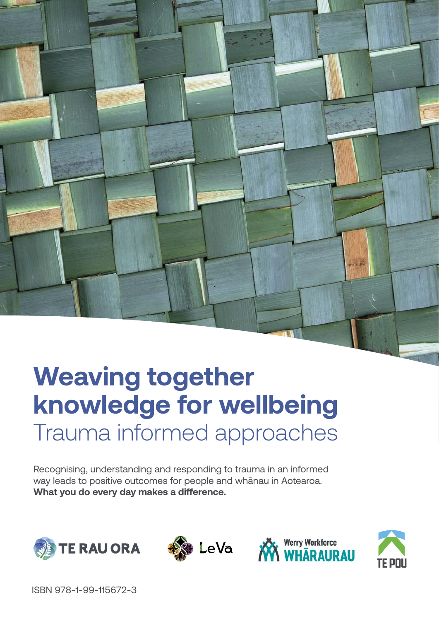# Trauma informed approaches **Weaving together knowledge for wellbeing**

Recognising, understanding and responding to trauma in an informed way leads to positive outcomes for people and whānau in Aotearoa. **What you do every day makes a difference.**







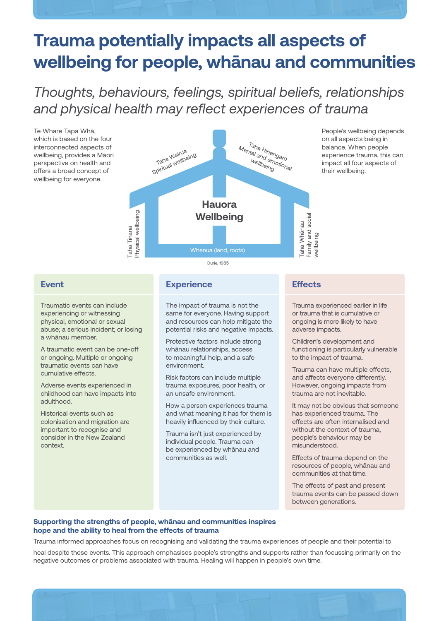# **Trauma potentially impacts all aspects of wellbeing for people, whānau and communities**

## *Thoughts, behaviours, feelings, spiritual beliefs, relationships and physical health may reflect experiences of trauma*





People's wellbeing depends on all aspects being in balance. When people experience trauma, this can impact all four aspects of their wellbeing.

## **Event**

Traumatic events can include experiencing or witnessing physical, emotional or sexual abuse; a serious incident; or losing a whānau member.

A traumatic event can be one-off or ongoing. Multiple or ongoing traumatic events can have cumulative effects.

Adverse events experienced in childhood can have impacts into adulthood.

Historical events such as colonisation and migration are important to recognise and consider in the New Zealand context.

## **Experience**

The impact of trauma is not the same for everyone. Having support and resources can help mitigate the potential risks and negative impacts.

Protective factors include strong whānau relationships, access to meaningful help, and a safe environment.

Risk factors can include multiple trauma exposures, poor health, or an unsafe environment.

How a person experiences trauma and what meaning it has for them is heavily influenced by their culture.

Trauma isn't just experienced by individual people. Trauma can be experienced by whānau and communities as well.

## **Effects**

Trauma experienced earlier in life or trauma that is cumulative or ongoing is more likely to have adverse impacts.

Children's development and functioning is particularly vulnerable to the impact of trauma.

Trauma can have multiple effects, and affects everyone differently. However, ongoing impacts from trauma are not inevitable.

It may not be obvious that someone has experienced trauma. The effects are often internalised and without the context of trauma, people's behaviour may be misunderstood.

Effects of trauma depend on the resources of people, whānau and communities at that time.

The effects of past and present trauma events can be passed down between generations.

## **Supporting the strengths of people, whānau and communities inspires hope and the ability to heal from the effects of trauma**

Trauma informed approaches focus on recognising and validating the trauma experiences of people and their potential to heal despite these events. This approach emphasises people's strengths and supports rather than focussing primarily on the negative outcomes or problems associated with trauma. Healing will happen in people's own time.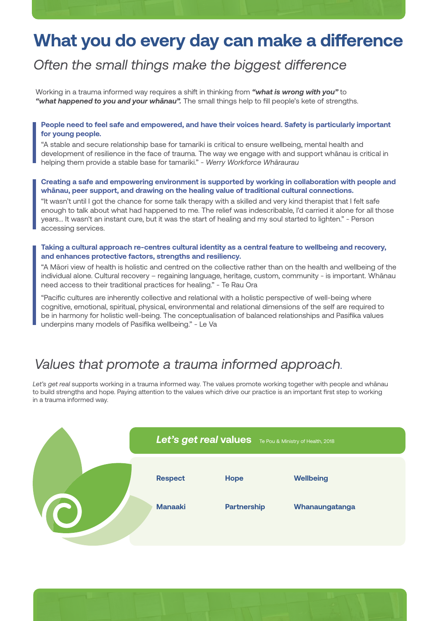# **What you do every day can make a difference**

## *Often the small things make the biggest difference*

Working in a trauma informed way requires a shift in thinking from *"what is wrong with you"* to *"what happened to you and your whānau".* The small things help to fill people's kete of strengths.

#### **People need to feel safe and empowered, and have their voices heard. Safety is particularly important for young people.**

"A stable and secure relationship base for tamariki is critical to ensure wellbeing, mental health and development of resilience in the face of trauma. The way we engage with and support whānau is critical in helping them provide a stable base for tamariki." *- Werry Workforce Whāraurau*

#### **Creating a safe and empowering environment is supported by working in collaboration with people and whānau, peer support, and drawing on the healing value of traditional cultural connections.**

"It wasn't until I got the chance for some talk therapy with a skilled and very kind therapist that I felt safe enough to talk about what had happened to me. The relief was indescribable, I'd carried it alone for all those years... It wasn't an instant cure, but it was the start of healing and my soul started to lighten." - Person accessing services.

#### **Taking a cultural approach re-centres cultural identity as a central feature to wellbeing and recovery, and enhances protective factors, strengths and resiliency.**

"A Māori view of health is holistic and centred on the collective rather than on the health and wellbeing of the individual alone. Cultural recovery – regaining language, heritage, custom, community - is important. Whānau need access to their traditional practices for healing." - Te Rau Ora

"Pacific cultures are inherently collective and relational with a holistic perspective of well-being where cognitive, emotional, spiritual, physical, environmental and relational dimensions of the self are required to be in harmony for holistic well-being. The conceptualisation of balanced relationships and Pasifika values underpins many models of Pasifika wellbeing." - Le Va

## *Values that promote a trauma informed approach***.**

*Let's get real* supports working in a trauma informed way. The values promote working together with people and whānau to build strengths and hope. Paying attention to the values which drive our practice is an important first step to working in a trauma informed way.



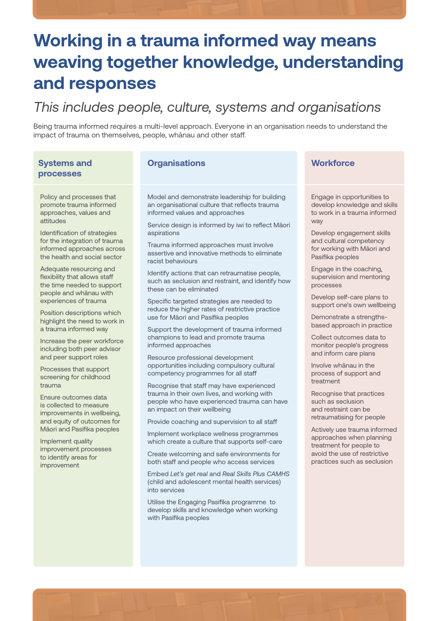# **Working in a trauma informed way means weaving together knowledge, understanding and responses**

## *This includes people, culture, systems and organisations*

Being trauma informed requires a multi-level approach. Everyone in an organisation needs to understand the impact of trauma on themselves, people, whānau and other staff.

## **Systems and processes**

Policy and processes that promote trauma informed approaches, values and attitudes

Identification of strategies for the integration of trauma informed approaches across the health and social sector

Adequate resourcing and flexibility that allows staff the time needed to support people and whānau with experiences of trauma

Position descriptions which highlight the need to work in a trauma informed way

Increase the peer workforce including both peer advisor and peer support roles

Processes that support screening for childhood trauma

Ensure outcomes data is collected to measure improvements in wellbeing, and equity of outcomes for Māori and Pasifika peoples

Implement quality improvement processes to identify areas for improvement

## **Organisations Workforce**

Model and demonstrate leadership for building an organisational culture that reflects trauma informed values and approaches

Service design is informed by iwi to reflect Māori aspirations

Trauma informed approaches must involve assertive and innovative methods to eliminate racist behaviours

Identify actions that can retraumatise people, such as seclusion and restraint, and identify how these can be eliminated

Specific targeted strategies are needed to reduce the higher rates of restrictive practice use for Māori and Pasifika peoples

Support the development of trauma informed champions to lead and promote trauma informed approaches

Resource professional development opportunities including compulsory cultural competency programmes for all staff

Recognise that staff may have experienced trauma in their own lives, and working with people who have experienced trauma can have an impact on their wellbeing

Provide coaching and supervision to all staff

Implement workplace wellness programmes which create a culture that supports self-care

Create welcoming and safe environments for both staff and people who access services

Embed *Let's get real* and *Real Skills Plus CAMHS* (child and adolescent mental health services) into services

Utilise the Engaging Pasifika programme to develop skills and knowledge when working with Pasifika peoples

Engage in opportunities to develop knowledge and skills to work in a trauma informed way

Develop engagement skills and cultural competency for working with Māori and Pasifika peoples

Engage in the coaching, supervision and mentoring processes

Develop self-care plans to support one's own wellbeing

Demonstrate a strengthsbased approach in practice

Collect outcomes data to monitor people's progress and inform care plans

Involve whānau in the process of support and treatment

Recognise that practices such as seclusion and restraint can be retraumatising for people

Actively use trauma informed approaches when planning treatment for people to avoid the use of restrictive practices such as seclusion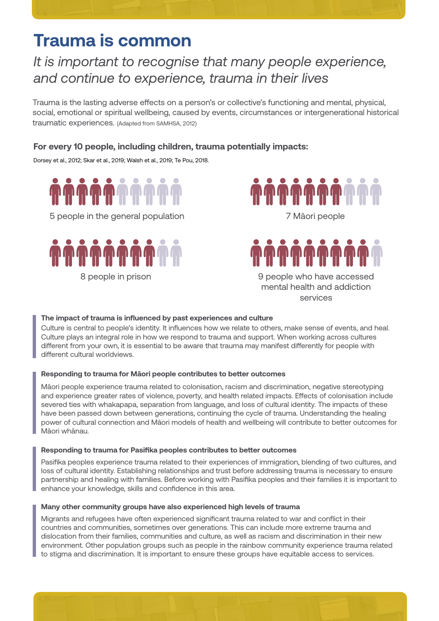# **Trauma is common**

## *It is important to recognise that many people experience, and continue to experience, trauma in their lives*

Trauma is the lasting adverse effects on a person's or collective's functioning and mental, physical, social, emotional or spiritual wellbeing, caused by events, circumstances or intergenerational historical traumatic experiences. (Adapted from SAMHSA, 2012)

## **For every 10 people, including children, trauma potentially impacts:**

Dorsey et al., 2012; Skar et al., 2019; Walsh et al., 2019; Te Pou, 2018.



5 people in the general population





9 people who have accessed mental health and addiction services

## **The impact of trauma is influenced by past experiences and culture**

Culture is central to people's identity. It influences how we relate to others, make sense of events, and heal. Culture plays an integral role in how we respond to trauma and support. When working across cultures different from your own, it is essential to be aware that trauma may manifest differently for people with different cultural worldviews.

## **Responding to trauma for Māori people contributes to better outcomes**

Māori people experience trauma related to colonisation, racism and discrimination, negative stereotyping and experience greater rates of violence, poverty, and health related impacts. Effects of colonisation include severed ties with whakapapa, separation from language, and loss of cultural identity. The impacts of these have been passed down between generations, continuing the cycle of trauma. Understanding the healing power of cultural connection and Māori models of health and wellbeing will contribute to better outcomes for Māori whānau.

## **Responding to trauma for Pasifika peoples contributes to better outcomes**

Pasifika peoples experience trauma related to their experiences of immigration, blending of two cultures, and loss of cultural identity. Establishing relationships and trust before addressing trauma is necessary to ensure partnership and healing with families. Before working with Pasifika peoples and their families it is important to enhance your knowledge, skills and confidence in this area.

## **Many other community groups have also experienced high levels of trauma**

Migrants and refugees have often experienced significant trauma related to war and conflict in their countries and communities, sometimes over generations. This can include more extreme trauma and dislocation from their families, communities and culture, as well as racism and discrimination in their new environment. Other population groups such as people in the rainbow community experience trauma related to stigma and discrimination. It is important to ensure these groups have equitable access to services.